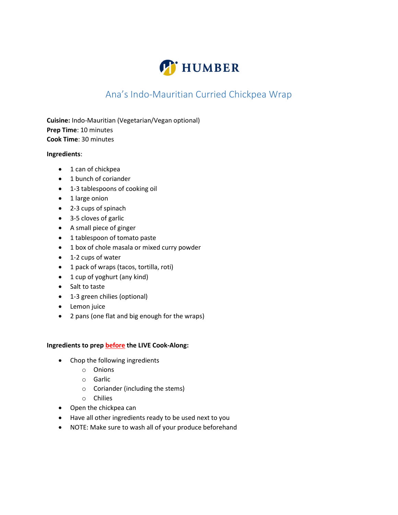

## Ana's Indo-Mauritian Curried Chickpea Wrap

Cuisine: Indo-Mauritian (Vegetarian/Vegan optional) Prep Time: 10 minutes Cook Time: 30 minutes

## Ingredients:

- 1 can of chickpea
- 1 bunch of coriander
- 1-3 tablespoons of cooking oil
- 1 large onion
- 2-3 cups of spinach
- 3-5 cloves of garlic
- A small piece of ginger
- 1 tablespoon of tomato paste
- 1 box of chole masala or mixed curry powder
- 1-2 cups of water
- 1 pack of wraps (tacos, tortilla, roti)
- 1 cup of yoghurt (any kind)
- Salt to taste
- 1-3 green chilies (optional)
- Lemon juice
- 2 pans (one flat and big enough for the wraps)

## Ingredients to prep **before** the LIVE Cook-Along:

- Chop the following ingredients
	- o Onions
	- o Garlic
	- o Coriander (including the stems)
	- o Chilies
- Open the chickpea can
- Have all other ingredients ready to be used next to you
- NOTE: Make sure to wash all of your produce beforehand